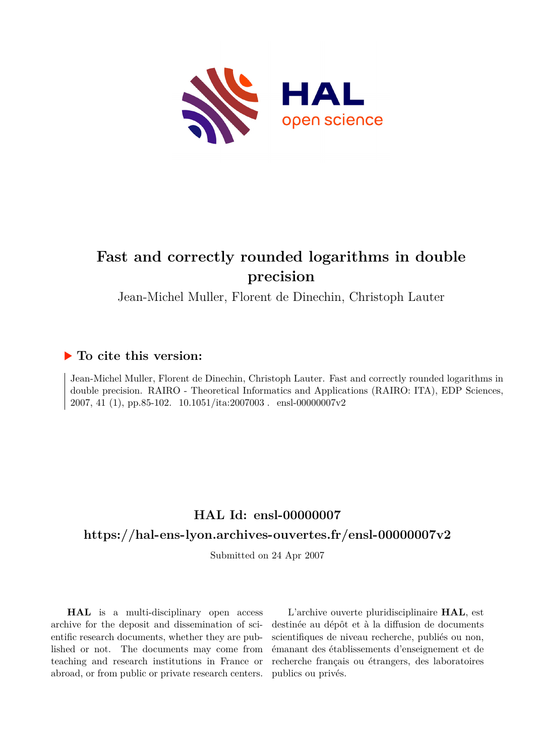

# **Fast and correctly rounded logarithms in double precision**

Jean-Michel Muller, Florent de Dinechin, Christoph Lauter

# **To cite this version:**

Jean-Michel Muller, Florent de Dinechin, Christoph Lauter. Fast and correctly rounded logarithms in double precision. RAIRO - Theoretical Informatics and Applications (RAIRO: ITA), EDP Sciences, 2007, 41 (1), pp.85-102.  $10.1051/ita: 2007003$ . ensl-00000007v2

# **HAL Id: ensl-00000007 <https://hal-ens-lyon.archives-ouvertes.fr/ensl-00000007v2>**

Submitted on 24 Apr 2007

**HAL** is a multi-disciplinary open access archive for the deposit and dissemination of scientific research documents, whether they are published or not. The documents may come from teaching and research institutions in France or abroad, or from public or private research centers.

L'archive ouverte pluridisciplinaire **HAL**, est destinée au dépôt et à la diffusion de documents scientifiques de niveau recherche, publiés ou non, émanant des établissements d'enseignement et de recherche français ou étrangers, des laboratoires publics ou privés.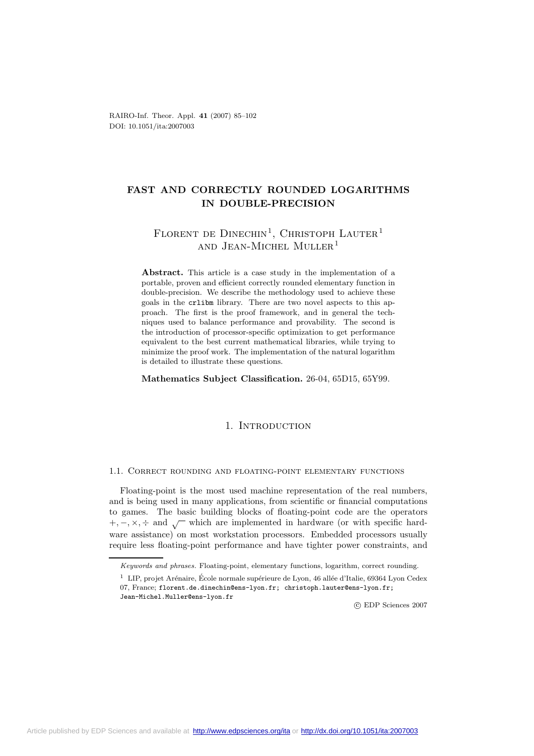RAIRO-Inf. Theor. Appl. **41** (2007) 85–102 DOI: 10.1051/ita:2007003

# **FAST AND CORRECTLY ROUNDED LOGARITHMS IN DOUBLE-PRECISION**

# FLORENT DE DINECHIN<sup>1</sup>, CHRISTOPH LAUTER<sup>1</sup> and Jean-Michel Muller<sup>1</sup>

**Abstract.** This article is a case study in the implementation of a portable, proven and efficient correctly rounded elementary function in double-precision. We describe the methodology used to achieve these goals in the crlibm library. There are two novel aspects to this approach. The first is the proof framework, and in general the techniques used to balance performance and provability. The second is the introduction of processor-specific optimization to get performance equivalent to the best current mathematical libraries, while trying to minimize the proof work. The implementation of the natural logarithm is detailed to illustrate these questions.

**Mathematics Subject Classification.** 26-04, 65D15, 65Y99.

## 1. INTRODUCTION

#### 1.1. Correct rounding and floating-point elementary functions

Floating-point is the most used machine representation of the real numbers, and is being used in many applications, from scientific or financial computations to games. The basic building blocks of floating-point code are the operators  $+, -, \times, \div$  and  $\sqrt{\phantom{a}}$  which are implemented in hardware (or with specific hardware assistance) on most workstation processors. Embedded processors usually require less floating-point performance and have tighter power constraints, and

c EDP Sciences 2007

*Keywords and phrases.* Floating-point, elementary functions, logarithm, correct rounding.

<sup>&</sup>lt;sup>1</sup> LIP, projet Arénaire, École normale supérieure de Lyon, 46 allée d'Italie, 69364 Lyon Cedex 07, France; florent.de.dinechin@ens-lyon.fr; christoph.lauter@ens-lyon.fr; Jean-Michel.Muller@ens-lyon.fr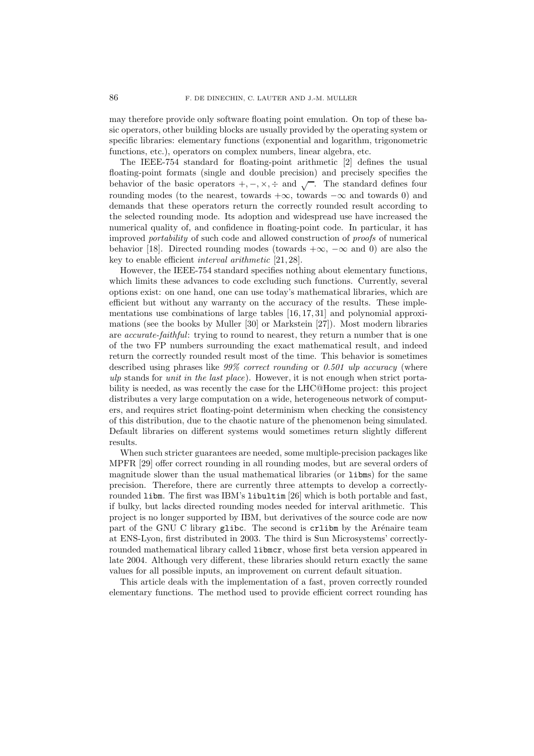may therefore provide only software floating point emulation. On top of these basic operators, other building blocks are usually provided by the operating system or specific libraries: elementary functions (exponential and logarithm, trigonometric functions, etc.), operators on complex numbers, linear algebra, etc.

The IEEE-754 standard for floating-point arithmetic [2] defines the usual floating-point formats (single and double precision) and precisely specifies the behavior of the basic operators  $+,-, \times, \div$  and  $\sqrt{\phantom{a}}$ . The standard defines four rounding modes (to the nearest, towards  $+\infty$ , towards  $-\infty$  and towards 0) and demands that these operators return the correctly rounded result according to the selected rounding mode. Its adoption and widespread use have increased the numerical quality of, and confidence in floating-point code. In particular, it has improved *portability* of such code and allowed construction of *proofs* of numerical behavior [18]. Directed rounding modes (towards  $+\infty$ ,  $-\infty$  and 0) are also the key to enable efficient *interval arithmetic* [21, 28].

However, the IEEE-754 standard specifies nothing about elementary functions, which limits these advances to code excluding such functions. Currently, several options exist: on one hand, one can use today's mathematical libraries, which are efficient but without any warranty on the accuracy of the results. These implementations use combinations of large tables [16, 17, 31] and polynomial approximations (see the books by Muller [30] or Markstein [27]). Most modern libraries are *accurate-faithful*: trying to round to nearest, they return a number that is one of the two FP numbers surrounding the exact mathematical result, and indeed return the correctly rounded result most of the time. This behavior is sometimes described using phrases like *99% correct rounding* or *0.501 ulp accuracy* (where *ulp* stands for *unit in the last place*). However, it is not enough when strict portability is needed, as was recently the case for the LHC@Home project: this project distributes a very large computation on a wide, heterogeneous network of computers, and requires strict floating-point determinism when checking the consistency of this distribution, due to the chaotic nature of the phenomenon being simulated. Default libraries on different systems would sometimes return slightly different results.

When such stricter guarantees are needed, some multiple-precision packages like MPFR [29] offer correct rounding in all rounding modes, but are several orders of magnitude slower than the usual mathematical libraries (or libms) for the same precision. Therefore, there are currently three attempts to develop a correctlyrounded libm. The first was IBM's libultim [26] which is both portable and fast, if bulky, but lacks directed rounding modes needed for interval arithmetic. This project is no longer supported by IBM, but derivatives of the source code are now part of the GNU C library glibc. The second is crlibm by the Arénaire team at ENS-Lyon, first distributed in 2003. The third is Sun Microsystems' correctlyrounded mathematical library called libmcr, whose first beta version appeared in late 2004. Although very different, these libraries should return exactly the same values for all possible inputs, an improvement on current default situation.

This article deals with the implementation of a fast, proven correctly rounded elementary functions. The method used to provide efficient correct rounding has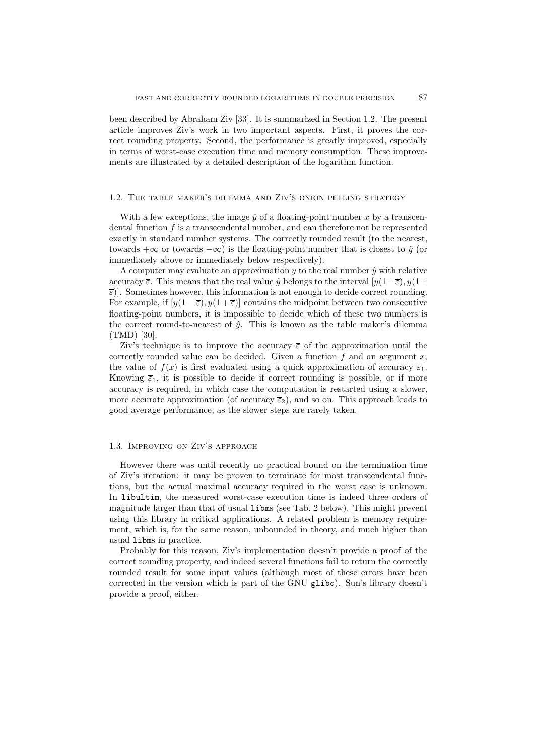been described by Abraham Ziv [33]. It is summarized in Section 1.2. The present article improves Ziv's work in two important aspects. First, it proves the correct rounding property. Second, the performance is greatly improved, especially in terms of worst-case execution time and memory consumption. These improvements are illustrated by a detailed description of the logarithm function.

#### 1.2. The table maker's dilemma and Ziv's onion peeling strategy

With a few exceptions, the image  $\hat{y}$  of a floating-point number x by a transcendental function  $f$  is a transcendental number, and can therefore not be represented exactly in standard number systems. The correctly rounded result (to the nearest, towards  $+\infty$  or towards  $-\infty$ ) is the floating-point number that is closest to  $\hat{y}$  (or immediately above or immediately below respectively).

A computer may evaluate an approximation  $y$  to the real number  $\hat{y}$  with relative accuracy  $\overline{\varepsilon}$ . This means that the real value  $\hat{y}$  belongs to the interval  $[y(1-\overline{\varepsilon}), y(1+\overline{\varepsilon})]$  $\bar{\varepsilon}$ ]. Sometimes however, this information is not enough to decide correct rounding. For example, if  $[y(1-\overline{\varepsilon}), y(1+\overline{\varepsilon})]$  contains the midpoint between two consecutive floating-point numbers, it is impossible to decide which of these two numbers is the correct round-to-nearest of  $\hat{y}$ . This is known as the table maker's dilemma (TMD) [30].

Ziv's technique is to improve the accuracy  $\bar{\varepsilon}$  of the approximation until the correctly rounded value can be decided. Given a function  $f$  and an argument  $x$ , the value of  $f(x)$  is first evaluated using a quick approximation of accuracy  $\overline{\varepsilon}_1$ . Knowing  $\bar{\varepsilon}_1$ , it is possible to decide if correct rounding is possible, or if more accuracy is required, in which case the computation is restarted using a slower, more accurate approximation (of accuracy  $\overline{\epsilon}_2$ ), and so on. This approach leads to good average performance, as the slower steps are rarely taken.

## 1.3. Improving on Ziv's approach

However there was until recently no practical bound on the termination time of Ziv's iteration: it may be proven to terminate for most transcendental functions, but the actual maximal accuracy required in the worst case is unknown. In libultim, the measured worst-case execution time is indeed three orders of magnitude larger than that of usual libms (see Tab. 2 below). This might prevent using this library in critical applications. A related problem is memory requirement, which is, for the same reason, unbounded in theory, and much higher than usual libms in practice.

Probably for this reason, Ziv's implementation doesn't provide a proof of the correct rounding property, and indeed several functions fail to return the correctly rounded result for some input values (although most of these errors have been corrected in the version which is part of the GNU glibc). Sun's library doesn't provide a proof, either.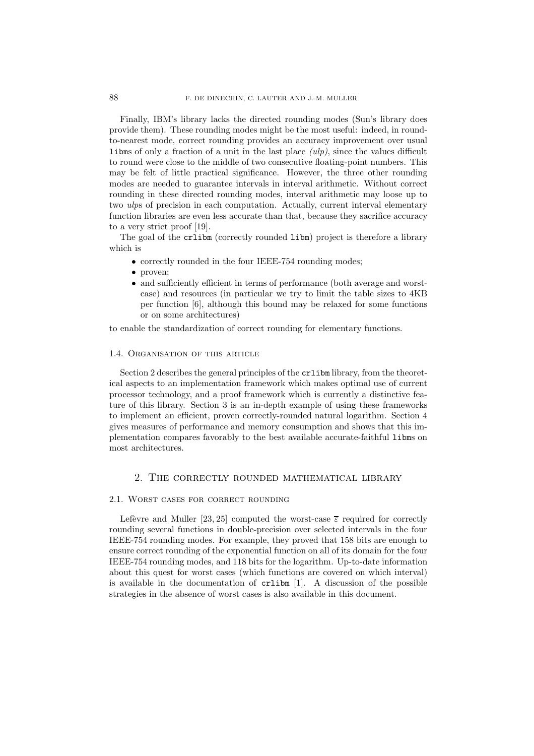Finally, IBM's library lacks the directed rounding modes (Sun's library does provide them). These rounding modes might be the most useful: indeed, in roundto-nearest mode, correct rounding provides an accuracy improvement over usual libms of only a fraction of a unit in the last place *(ulp)*, since the values difficult to round were close to the middle of two consecutive floating-point numbers. This may be felt of little practical significance. However, the three other rounding modes are needed to guarantee intervals in interval arithmetic. Without correct rounding in these directed rounding modes, interval arithmetic may loose up to two *ulp*s of precision in each computation. Actually, current interval elementary function libraries are even less accurate than that, because they sacrifice accuracy to a very strict proof [19].

The goal of the crlibm (correctly rounded libm) project is therefore a library which is

- correctly rounded in the four IEEE-754 rounding modes;
- proven:
- and sufficiently efficient in terms of performance (both average and worstcase) and resources (in particular we try to limit the table sizes to 4KB per function [6], although this bound may be relaxed for some functions or on some architectures)

to enable the standardization of correct rounding for elementary functions.

## 1.4. Organisation of this article

Section 2 describes the general principles of the crlibm library, from the theoretical aspects to an implementation framework which makes optimal use of current processor technology, and a proof framework which is currently a distinctive feature of this library. Section 3 is an in-depth example of using these frameworks to implement an efficient, proven correctly-rounded natural logarithm. Section 4 gives measures of performance and memory consumption and shows that this implementation compares favorably to the best available accurate-faithful libms on most architectures.

# 2. The correctly rounded mathematical library

#### 2.1. Worst cases for correct rounding

Lefevre and Muller [23, 25] computed the worst-case  $\bar{\varepsilon}$  required for correctly rounding several functions in double-precision over selected intervals in the four IEEE-754 rounding modes. For example, they proved that 158 bits are enough to ensure correct rounding of the exponential function on all of its domain for the four IEEE-754 rounding modes, and 118 bits for the logarithm. Up-to-date information about this quest for worst cases (which functions are covered on which interval) is available in the documentation of crlibm [1]. A discussion of the possible strategies in the absence of worst cases is also available in this document.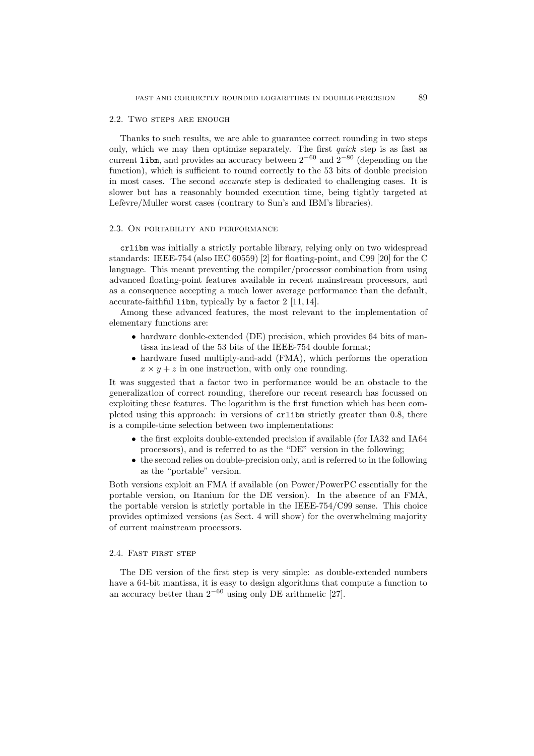### 2.2. Two steps are enough

Thanks to such results, we are able to guarantee correct rounding in two steps only, which we may then optimize separately. The first *quick* step is as fast as current libm, and provides an accuracy between  $2^{-60}$  and  $2^{-80}$  (depending on the function), which is sufficient to round correctly to the 53 bits of double precision in most cases. The second *accurate* step is dedicated to challenging cases. It is slower but has a reasonably bounded execution time, being tightly targeted at Lefèvre/Muller worst cases (contrary to Sun's and IBM's libraries).

#### 2.3. On portability and performance

crlibm was initially a strictly portable library, relying only on two widespread standards: IEEE-754 (also IEC 60559) [2] for floating-point, and C99 [20] for the C language. This meant preventing the compiler/processor combination from using advanced floating-point features available in recent mainstream processors, and as a consequence accepting a much lower average performance than the default, accurate-faithful libm, typically by a factor 2 [11, 14].

Among these advanced features, the most relevant to the implementation of elementary functions are:

- hardware double-extended (DE) precision, which provides 64 bits of mantissa instead of the 53 bits of the IEEE-754 double format;
- hardware fused multiply-and-add (FMA), which performs the operation  $x \times y + z$  in one instruction, with only one rounding.

It was suggested that a factor two in performance would be an obstacle to the generalization of correct rounding, therefore our recent research has focussed on exploiting these features. The logarithm is the first function which has been completed using this approach: in versions of crlibm strictly greater than 0.8, there is a compile-time selection between two implementations:

- the first exploits double-extended precision if available (for IA32 and IA64 processors), and is referred to as the "DE" version in the following;
- the second relies on double-precision only, and is referred to in the following as the "portable" version.

Both versions exploit an FMA if available (on Power/PowerPC essentially for the portable version, on Itanium for the DE version). In the absence of an FMA, the portable version is strictly portable in the IEEE-754/C99 sense. This choice provides optimized versions (as Sect. 4 will show) for the overwhelming majority of current mainstream processors.

#### 2.4. Fast first step

The DE version of the first step is very simple: as double-extended numbers have a 64-bit mantissa, it is easy to design algorithms that compute a function to an accuracy better than  $2^{-60}$  using only DE arithmetic [27].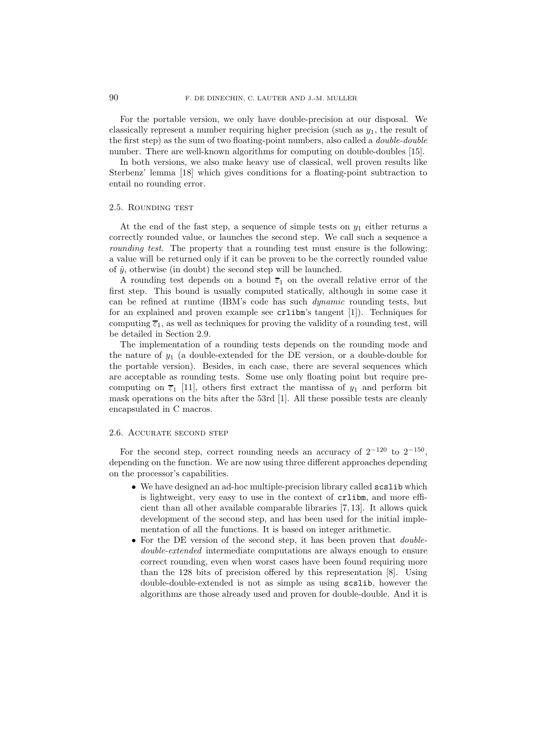For the portable version, we only have double-precision at our disposal. We classically represent a number requiring higher precision (such as  $y_1$ , the result of the first step) as the sum of two floating-point numbers, also called a *double-double* number. There are well-known algorithms for computing on double-doubles [15].

In both versions, we also make heavy use of classical, well proven results like Sterbenz' lemma [18] which gives conditions for a floating-point subtraction to entail no rounding error.

#### 2.5. Rounding test

At the end of the fast step, a sequence of simple tests on  $y_1$  either returns a correctly rounded value, or launches the second step. We call such a sequence a *rounding test*. The property that a rounding test must ensure is the following: a value will be returned only if it can be proven to be the correctly rounded value of  $\hat{y}$ , otherwise (in doubt) the second step will be launched.

A rounding test depends on a bound  $\overline{\epsilon}_1$  on the overall relative error of the first step. This bound is usually computed statically, although in some case it can be refined at runtime (IBM's code has such *dynamic* rounding tests, but for an explained and proven example see crlibm's tangent [1]). Techniques for computing  $\overline{\varepsilon}_1$ , as well as techniques for proving the validity of a rounding test, will be detailed in Section 2.9.

The implementation of a rounding tests depends on the rounding mode and the nature of  $y_1$  (a double-extended for the DE version, or a double-double for the portable version). Besides, in each case, there are several sequences which are acceptable as rounding tests. Some use only floating point but require precomputing on  $\overline{\epsilon}_1$  [11], others first extract the mantissa of  $y_1$  and perform bit mask operations on the bits after the 53rd [1]. All these possible tests are cleanly encapsulated in C macros.

#### 2.6. Accurate second step

For the second step, correct rounding needs an accuracy of  $2^{-120}$  to  $2^{-150}$ , depending on the function. We are now using three different approaches depending on the processor's capabilities.

- We have designed an ad-hoc multiple-precision library called scslib which is lightweight, very easy to use in the context of crlibm, and more efficient than all other available comparable libraries [7, 13]. It allows quick development of the second step, and has been used for the initial implementation of all the functions. It is based on integer arithmetic.
- For the DE version of the second step, it has been proven that *doubledouble-extended* intermediate computations are always enough to ensure correct rounding, even when worst cases have been found requiring more than the 128 bits of precision offered by this representation [8]. Using double-double-extended is not as simple as using scslib, however the algorithms are those already used and proven for double-double. And it is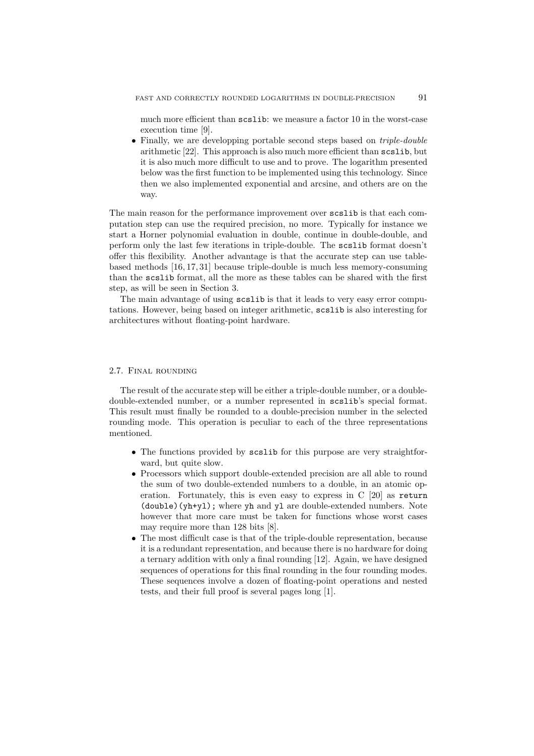much more efficient than scslib: we measure a factor 10 in the worst-case execution time [9].

• Finally, we are developping portable second steps based on *triple-double* arithmetic [22]. This approach is also much more efficient than scslib, but it is also much more difficult to use and to prove. The logarithm presented below was the first function to be implemented using this technology. Since then we also implemented exponential and arcsine, and others are on the way.

The main reason for the performance improvement over scslib is that each computation step can use the required precision, no more. Typically for instance we start a Horner polynomial evaluation in double, continue in double-double, and perform only the last few iterations in triple-double. The scslib format doesn't offer this flexibility. Another advantage is that the accurate step can use tablebased methods [16, 17, 31] because triple-double is much less memory-consuming than the scslib format, all the more as these tables can be shared with the first step, as will be seen in Section 3.

The main advantage of using scslib is that it leads to very easy error computations. However, being based on integer arithmetic, scslib is also interesting for architectures without floating-point hardware.

#### 2.7. Final rounding

The result of the accurate step will be either a triple-double number, or a doubledouble-extended number, or a number represented in scslib's special format. This result must finally be rounded to a double-precision number in the selected rounding mode. This operation is peculiar to each of the three representations mentioned.

- The functions provided by scslib for this purpose are very straightforward, but quite slow.
- Processors which support double-extended precision are all able to round the sum of two double-extended numbers to a double, in an atomic operation. Fortunately, this is even easy to express in C [20] as return (double)(yh+yl); where yh and yl are double-extended numbers. Note however that more care must be taken for functions whose worst cases may require more than 128 bits [8].
- The most difficult case is that of the triple-double representation, because it is a redundant representation, and because there is no hardware for doing a ternary addition with only a final rounding [12]. Again, we have designed sequences of operations for this final rounding in the four rounding modes. These sequences involve a dozen of floating-point operations and nested tests, and their full proof is several pages long [1].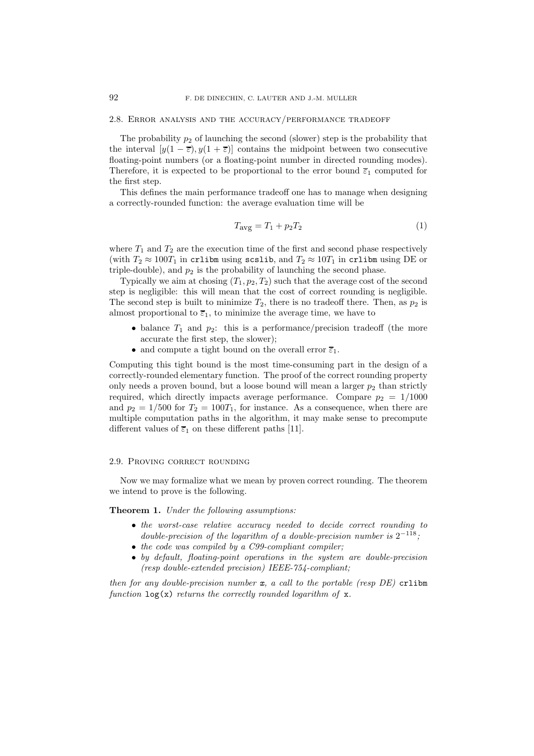#### 2.8. Error analysis and the accuracy/performance tradeoff

The probability  $p_2$  of launching the second (slower) step is the probability that the interval  $[y(1 - \overline{\varepsilon}), y(1 + \overline{\varepsilon})]$  contains the midpoint between two consecutive floating-point numbers (or a floating-point number in directed rounding modes). Therefore, it is expected to be proportional to the error bound  $\overline{\varepsilon}_1$  computed for the first step.

This defines the main performance tradeoff one has to manage when designing a correctly-rounded function: the average evaluation time will be

$$
T_{\text{avg}} = T_1 + p_2 T_2 \tag{1}
$$

where  $T_1$  and  $T_2$  are the execution time of the first and second phase respectively (with  $T_2 \approx 100T_1$  in crlibm using scslib, and  $T_2 \approx 10T_1$  in crlibm using DE or triple-double), and  $p_2$  is the probability of launching the second phase.

Typically we aim at chosing  $(T_1, p_2, T_2)$  such that the average cost of the second step is negligible: this will mean that the cost of correct rounding is negligible. The second step is built to minimize  $T_2$ , there is no tradeoff there. Then, as  $p_2$  is almost proportional to  $\overline{\epsilon}_1$ , to minimize the average time, we have to

- balance  $T_1$  and  $p_2$ : this is a performance/precision tradeoff (the more accurate the first step, the slower);
- and compute a tight bound on the overall error  $\overline{\epsilon}_1$ .

Computing this tight bound is the most time-consuming part in the design of a correctly-rounded elementary function. The proof of the correct rounding property only needs a proven bound, but a loose bound will mean a larger  $p_2$  than strictly required, which directly impacts average performance. Compare  $p_2 = 1/1000$ and  $p_2 = 1/500$  for  $T_2 = 100T_1$ , for instance. As a consequence, when there are multiple computation paths in the algorithm, it may make sense to precompute different values of  $\overline{\varepsilon}_1$  on these different paths [11].

#### 2.9. Proving correct rounding

Now we may formalize what we mean by proven correct rounding. The theorem we intend to prove is the following.

**Theorem 1.** *Under the following assumptions:*

- *the worst-case relative accuracy needed to decide correct rounding to double-precision of the logarithm of a double-precision number is*  $2^{-118}$ ;
- *the code was compiled by a C99-compliant compiler;*
- *by default, floating-point operations in the system are double-precision (resp double-extended precision) IEEE-754-compliant;*

*then for any double-precision number x, a call to the portable (resp DE)* crlibm *function* log(x) *returns the correctly rounded logarithm of* x*.*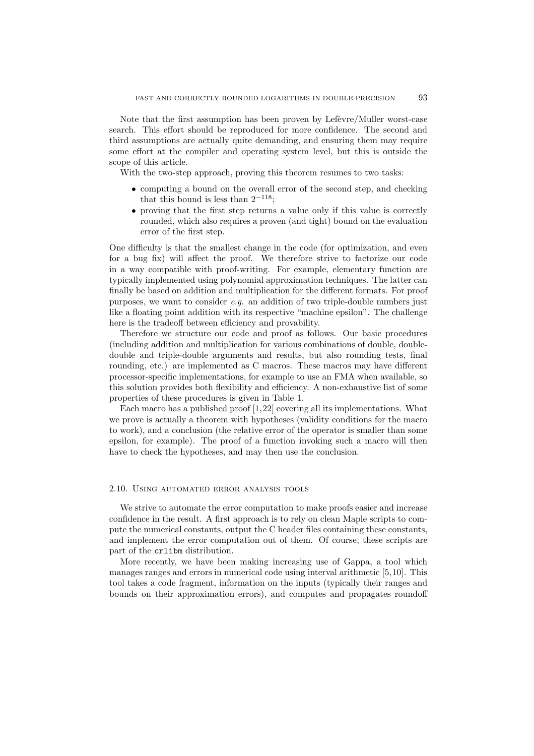Note that the first assumption has been proven by Lefevre/Muller worst-case search. This effort should be reproduced for more confidence. The second and third assumptions are actually quite demanding, and ensuring them may require some effort at the compiler and operating system level, but this is outside the scope of this article.

With the two-step approach, proving this theorem resumes to two tasks:

- computing a bound on the overall error of the second step, and checking that this bound is less than  $2^{-118}$ ;
- proving that the first step returns a value only if this value is correctly rounded, which also requires a proven (and tight) bound on the evaluation error of the first step.

One difficulty is that the smallest change in the code (for optimization, and even for a bug fix) will affect the proof. We therefore strive to factorize our code in a way compatible with proof-writing. For example, elementary function are typically implemented using polynomial approximation techniques. The latter can finally be based on addition and multiplication for the different formats. For proof purposes, we want to consider *e.g.* an addition of two triple-double numbers just like a floating point addition with its respective "machine epsilon". The challenge here is the tradeoff between efficiency and provability.

Therefore we structure our code and proof as follows. Our basic procedures (including addition and multiplication for various combinations of double, doubledouble and triple-double arguments and results, but also rounding tests, final rounding, etc.) are implemented as C macros. These macros may have different processor-specific implementations, for example to use an FMA when available, so this solution provides both flexibility and efficiency. A non-exhaustive list of some properties of these procedures is given in Table 1.

Each macro has a published proof [1,22] covering all its implementations. What we prove is actually a theorem with hypotheses (validity conditions for the macro to work), and a conclusion (the relative error of the operator is smaller than some epsilon, for example). The proof of a function invoking such a macro will then have to check the hypotheses, and may then use the conclusion.

#### 2.10. Using automated error analysis tools

We strive to automate the error computation to make proofs easier and increase confidence in the result. A first approach is to rely on clean Maple scripts to compute the numerical constants, output the C header files containing these constants, and implement the error computation out of them. Of course, these scripts are part of the crlibm distribution.

More recently, we have been making increasing use of Gappa, a tool which manages ranges and errors in numerical code using interval arithmetic [5,10]. This tool takes a code fragment, information on the inputs (typically their ranges and bounds on their approximation errors), and computes and propagates roundoff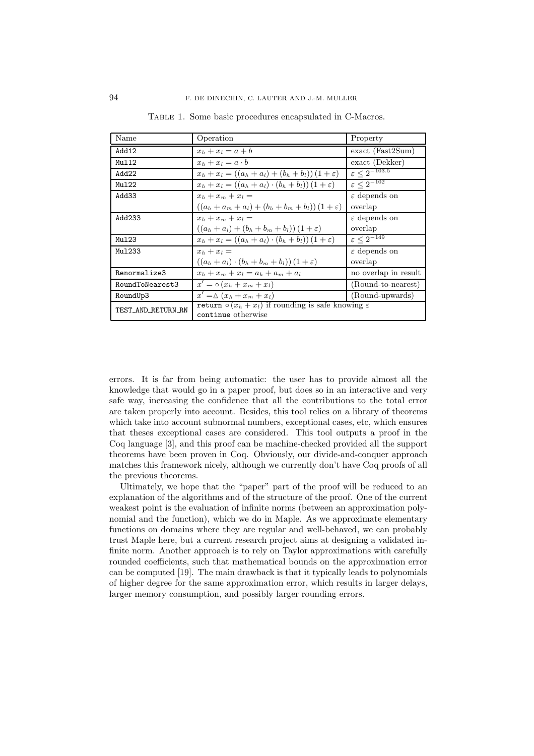| Name               | Operation                                                                       | Property                              |  |
|--------------------|---------------------------------------------------------------------------------|---------------------------------------|--|
| Add12              | $x_h + x_l = a + b$                                                             | $\text{exact}$ (Fast 2Sum)            |  |
| Mul12              | $x_h + x_l = a \cdot b$                                                         | exact (Dekker)                        |  |
| Add22              | $x_h + x_l = ((a_h + a_l) + (b_h + b_l)) (1 + \varepsilon)$                     | $\varepsilon < \overline{2^{-103.5}}$ |  |
| Mu122              | $x_h + x_l = ((a_h + a_l) \cdot (b_h + b_l)) (1 + \varepsilon)$                 | $\varepsilon < \overline{2^{-102}}$   |  |
| Add33              | $x_h + x_m + x_l =$                                                             | $\varepsilon$ depends on              |  |
|                    | $((a_h + a_m + a_l) + (b_h + b_m + b_l)) (1 + \varepsilon)$                     | overlap                               |  |
| Add233             | $x_h + x_m + x_l =$                                                             | $\varepsilon$ depends on              |  |
|                    | $((a_h + a_l) + (b_h + b_m + b_l)) (1 + \varepsilon)$                           | overlap                               |  |
| Mu123              | $x_h + x_l = ((a_h + a_l) \cdot (b_h + b_l)) (1 + \varepsilon)$                 | $\varepsilon < \overline{2^{-149}}$   |  |
| Mu1233             | $x_h + x_l =$                                                                   | $\varepsilon$ depends on              |  |
|                    | $((a_h + a_l) \cdot (b_h + b_m + b_l)) (1 + \varepsilon)$                       | overlap                               |  |
| Renormalize3       | $x_h + x_m + x_l = a_h + a_m + a_l$                                             | no overlap in result                  |  |
| RoundToNearest3    | $x' = \circ (x_h + x_m + x_l)$                                                  | (Round-to-nearest)                    |  |
| RoundUp3           | $x' = \Delta (x_h + x_m + x_l)$                                                 | (Round-upwards)                       |  |
| TEST_AND_RETURN_RN | return $\overline{\circ (x_h + x_l)}$ if rounding is safe knowing $\varepsilon$ |                                       |  |
|                    | continue otherwise                                                              |                                       |  |

Table 1. Some basic procedures encapsulated in C-Macros.

errors. It is far from being automatic: the user has to provide almost all the knowledge that would go in a paper proof, but does so in an interactive and very safe way, increasing the confidence that all the contributions to the total error are taken properly into account. Besides, this tool relies on a library of theorems which take into account subnormal numbers, exceptional cases, etc, which ensures that theses exceptional cases are considered. This tool outputs a proof in the Coq language [3], and this proof can be machine-checked provided all the support theorems have been proven in Coq. Obviously, our divide-and-conquer approach matches this framework nicely, although we currently don't have Coq proofs of all the previous theorems.

Ultimately, we hope that the "paper" part of the proof will be reduced to an explanation of the algorithms and of the structure of the proof. One of the current weakest point is the evaluation of infinite norms (between an approximation polynomial and the function), which we do in Maple. As we approximate elementary functions on domains where they are regular and well-behaved, we can probably trust Maple here, but a current research project aims at designing a validated infinite norm. Another approach is to rely on Taylor approximations with carefully rounded coefficients, such that mathematical bounds on the approximation error can be computed [19]. The main drawback is that it typically leads to polynomials of higher degree for the same approximation error, which results in larger delays, larger memory consumption, and possibly larger rounding errors.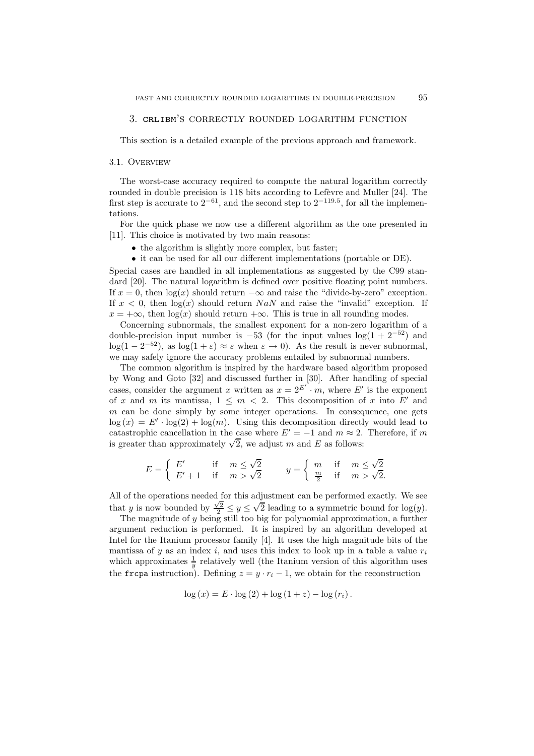# 3. crlibm's correctly rounded logarithm function

This section is a detailed example of the previous approach and framework.

# 3.1. Overview

The worst-case accuracy required to compute the natural logarithm correctly rounded in double precision is 118 bits according to Lefèvre and Muller [24]. The first step is accurate to  $2^{-61}$ , and the second step to  $2^{-119.5}$ , for all the implementations.

For the quick phase we now use a different algorithm as the one presented in [11]. This choice is motivated by two main reasons:

- the algorithm is slightly more complex, but faster;
- it can be used for all our different implementations (portable or DE).

Special cases are handled in all implementations as suggested by the C99 standard [20]. The natural logarithm is defined over positive floating point numbers. If  $x = 0$ , then  $log(x)$  should return  $-\infty$  and raise the "divide-by-zero" exception. If  $x < 0$ , then  $log(x)$  should return NaN and raise the "invalid" exception. If  $x = +\infty$ , then  $log(x)$  should return  $+\infty$ . This is true in all rounding modes.

Concerning subnormals, the smallest exponent for a non-zero logarithm of a double-precision input number is  $-53$  (for the input values  $\log(1 + 2^{-52})$ ) and  $log(1-2^{-52})$ , as  $log(1+\varepsilon) \approx \varepsilon$  when  $\varepsilon \to 0$ ). As the result is never subnormal, we may safely ignore the accuracy problems entailed by subnormal numbers.

The common algorithm is inspired by the hardware based algorithm proposed by Wong and Goto [32] and discussed further in [30]. After handling of special cases, consider the argument x written as  $x = 2^{E'} \cdot m$ , where E' is the exponent of x and m its mantissa,  $1 \leq m < 2$ . This decomposition of x into E' and  $m$  can be done simply by some integer operations. In consequence, one gets  $\log(x) = E' \cdot \log(2) + \log(m)$ . Using this decomposition directly would lead to catastrophic cancellation in the case where  $E' = -1$  and  $m \approx 2$ . Therefore, if m is greater than approximately  $\sqrt{2}$ , we adjust m and E as follows:

$$
E = \left\{ \begin{array}{lll} E' & \quad \text{if} & \; m \leq \sqrt{2} \\ E'+1 & \; \text{if} & \; m > \sqrt{2} \end{array} \right. \qquad y = \left\{ \begin{array}{lll} m & \; \text{if} & \; m \leq \sqrt{2} \\ \frac{m}{2} & \; \text{if} & \; m > \sqrt{2}. \end{array} \right.
$$

All of the operations needed for this adjustment can be performed exactly. We see that y is now bounded by  $\frac{\sqrt{2}}{2} \leq y \leq \sqrt{2}$  leading to a symmetric bound for  $\log(y)$ .

The magnitude of y being still too big for polynomial approximation, a further argument reduction is performed. It is inspired by an algorithm developed at Intel for the Itanium processor family [4]. It uses the high magnitude bits of the mantissa of  $y$  as an index  $i$ , and uses this index to look up in a table a value  $r_i$ which approximates  $\frac{1}{y}$  relatively well (the Itanium version of this algorithm uses the frcpa instruction). Defining  $z = y \cdot r_i - 1$ , we obtain for the reconstruction

$$
log (x) = E \cdot log (2) + log (1 + z) - log (ri).
$$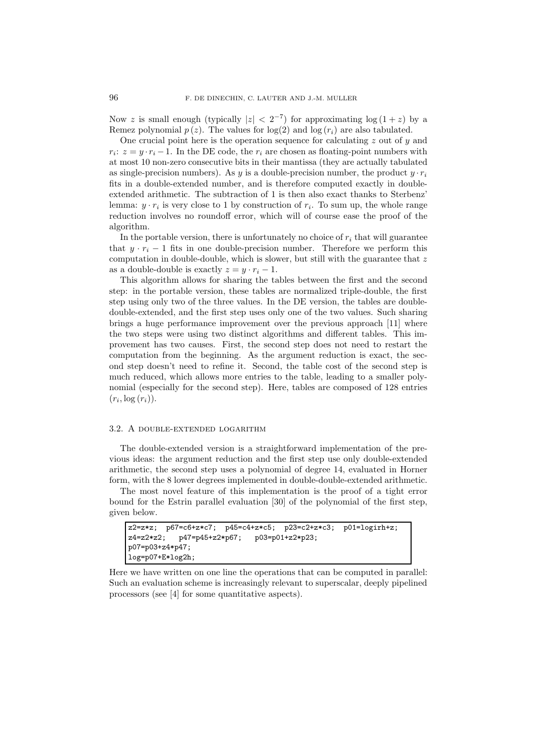Now z is small enough (typically  $|z| < 2^{-7}$ ) for approximating  $\log(1+z)$  by a Remez polynomial  $p(z)$ . The values for  $log(2)$  and  $log(r<sub>i</sub>)$  are also tabulated.

One crucial point here is the operation sequence for calculating  $z$  out of  $y$  and  $r_i: z = y \cdot r_i - 1$ . In the DE code, the  $r_i$  are chosen as floating-point numbers with at most 10 non-zero consecutive bits in their mantissa (they are actually tabulated as single-precision numbers). As  $y$  is a double-precision number, the product  $y \cdot r_i$ fits in a double-extended number, and is therefore computed exactly in doubleextended arithmetic. The subtraction of 1 is then also exact thanks to Sterbenz' lemma:  $y \cdot r_i$  is very close to 1 by construction of  $r_i$ . To sum up, the whole range reduction involves no roundoff error, which will of course ease the proof of the algorithm.

In the portable version, there is unfortunately no choice of  $r_i$  that will guarantee that  $y \cdot r_i - 1$  fits in one double-precision number. Therefore we perform this computation in double-double, which is slower, but still with the guarantee that  $z$ as a double-double is exactly  $z = y \cdot r_i - 1$ .

This algorithm allows for sharing the tables between the first and the second step: in the portable version, these tables are normalized triple-double, the first step using only two of the three values. In the DE version, the tables are doubledouble-extended, and the first step uses only one of the two values. Such sharing brings a huge performance improvement over the previous approach [11] where the two steps were using two distinct algorithms and different tables. This improvement has two causes. First, the second step does not need to restart the computation from the beginning. As the argument reduction is exact, the second step doesn't need to refine it. Second, the table cost of the second step is much reduced, which allows more entries to the table, leading to a smaller polynomial (especially for the second step). Here, tables are composed of 128 entries  $(r_i, \log(r_i)).$ 

#### 3.2. A double-extended logarithm

The double-extended version is a straightforward implementation of the previous ideas: the argument reduction and the first step use only double-extended arithmetic, the second step uses a polynomial of degree 14, evaluated in Horner form, with the 8 lower degrees implemented in double-double-extended arithmetic.

The most novel feature of this implementation is the proof of a tight error bound for the Estrin parallel evaluation [30] of the polynomial of the first step, given below.

|                  |  |  | z2=z*z;        p67=c6+z*c7;        p45=c4+z*c5;        p23=c2+z*c3;        p01=logirh+z; |  |  |
|------------------|--|--|------------------------------------------------------------------------------------------|--|--|
|                  |  |  |                                                                                          |  |  |
| p07=p03+z4*p47;  |  |  |                                                                                          |  |  |
| log=p07+E*log2h; |  |  |                                                                                          |  |  |

Here we have written on one line the operations that can be computed in parallel: Such an evaluation scheme is increasingly relevant to superscalar, deeply pipelined processors (see [4] for some quantitative aspects).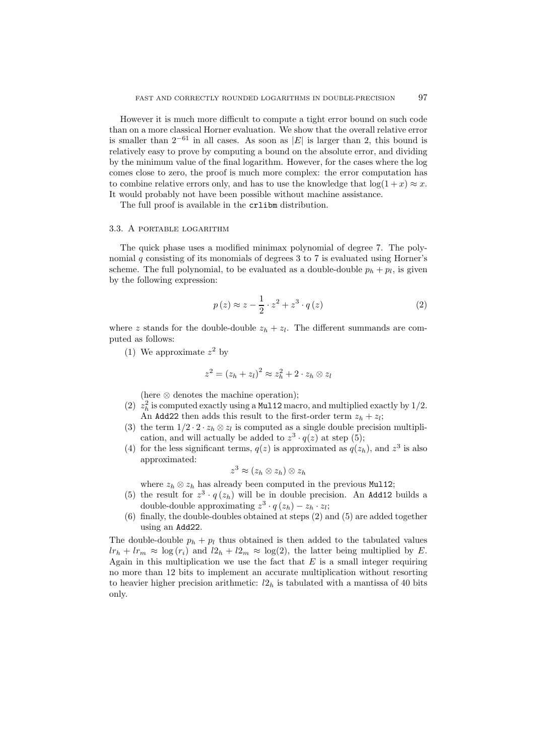However it is much more difficult to compute a tight error bound on such code than on a more classical Horner evaluation. We show that the overall relative error is smaller than  $2^{-61}$  in all cases. As soon as  $|E|$  is larger than 2, this bound is relatively easy to prove by computing a bound on the absolute error, and dividing by the minimum value of the final logarithm. However, for the cases where the log comes close to zero, the proof is much more complex: the error computation has to combine relative errors only, and has to use the knowledge that  $log(1 + x) \approx x$ . It would probably not have been possible without machine assistance.

The full proof is available in the crlibm distribution.

#### 3.3. A portable logarithm

The quick phase uses a modified minimax polynomial of degree 7. The polynomial q consisting of its monomials of degrees 3 to 7 is evaluated using Horner's scheme. The full polynomial, to be evaluated as a double-double  $p_h + p_l$ , is given by the following expression:

$$
p(z) \approx z - \frac{1}{2} \cdot z^2 + z^3 \cdot q(z) \tag{2}
$$

where z stands for the double-double  $z_h + z_l$ . The different summands are computed as follows:

(1) We approximate  $z^2$  by

$$
z^2 = (z_h + z_l)^2 \approx z_h^2 + 2 \cdot z_h \otimes z_l
$$

(here ⊗ denotes the machine operation);

- (2)  $z_h^2$  is computed exactly using a Mul12 macro, and multiplied exactly by  $1/2$ . An Add22 then adds this result to the first-order term  $z_h + z_l$ ;
- (3) the term  $1/2 \cdot 2 \cdot z_h \otimes z_l$  is computed as a single double precision multiplication, and will actually be added to  $z^3 \cdot q(z)$  at step (5);
- (4) for the less significant terms,  $q(z)$  is approximated as  $q(z_h)$ , and  $z^3$  is also approximated:

$$
z^3 \approx (z_h \otimes z_h) \otimes z_h
$$

where  $z_h \otimes z_h$  has already been computed in the previous Mul12;

- (5) the result for  $z^3 \cdot q(z_h)$  will be in double precision. An Add12 builds a double-double approximating  $z^3 \cdot q(z_h) - z_h \cdot z_l$ ;
- (6) finally, the double-doubles obtained at steps (2) and (5) are added together using an Add22.

The double-double  $p_h + p_l$  thus obtained is then added to the tabulated values  $l r_h + l r_m \approx \log(r_i)$  and  $l 2_h + l 2_m \approx \log(2)$ , the latter being multiplied by E. Again in this multiplication we use the fact that  $E$  is a small integer requiring no more than 12 bits to implement an accurate multiplication without resorting to heavier higher precision arithmetic:  $l2_h$  is tabulated with a mantissa of 40 bits only.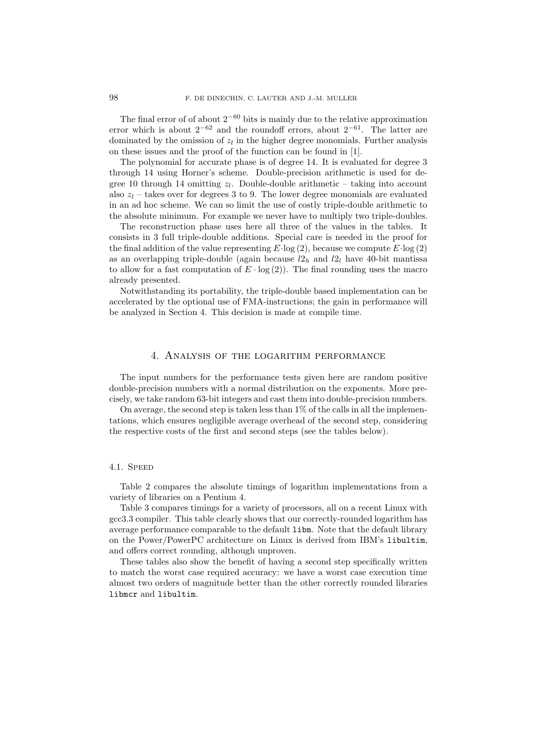The final error of of about  $2^{-60}$  bits is mainly due to the relative approximation error which is about  $2^{-62}$  and the roundoff errors, about  $2^{-61}$ . The latter are dominated by the omission of  $z_l$  in the higher degree monomials. Further analysis on these issues and the proof of the function can be found in [1].

The polynomial for accurate phase is of degree 14. It is evaluated for degree 3 through 14 using Horner's scheme. Double-precision arithmetic is used for degree 10 through 14 omitting  $z_l$ . Double-double arithmetic – taking into account also  $z_l$  – takes over for degrees 3 to 9. The lower degree monomials are evaluated in an ad hoc scheme. We can so limit the use of costly triple-double arithmetic to the absolute minimum. For example we never have to multiply two triple-doubles.

The reconstruction phase uses here all three of the values in the tables. It consists in 3 full triple-double additions. Special care is needed in the proof for the final addition of the value representing  $E \cdot \log(2)$ , because we compute  $E \cdot \log(2)$ as an overlapping triple-double (again because  $l2_h$  and  $l2_l$  have 40-bit mantissa to allow for a fast computation of  $E \cdot \log(2)$ . The final rounding uses the macro already presented.

Notwithstanding its portability, the triple-double based implementation can be accelerated by the optional use of FMA-instructions; the gain in performance will be analyzed in Section 4. This decision is made at compile time.

### 4. Analysis of the logarithm performance

The input numbers for the performance tests given here are random positive double-precision numbers with a normal distribution on the exponents. More precisely, we take random 63-bit integers and cast them into double-precision numbers.

On average, the second step is taken less than 1% of the calls in all the implementations, which ensures negligible average overhead of the second step, considering the respective costs of the first and second steps (see the tables below).

## 4.1. Speed

Table 2 compares the absolute timings of logarithm implementations from a variety of libraries on a Pentium 4.

Table 3 compares timings for a variety of processors, all on a recent Linux with gcc3.3 compiler. This table clearly shows that our correctly-rounded logarithm has average performance comparable to the default libm. Note that the default library on the Power/PowerPC architecture on Linux is derived from IBM's libultim, and offers correct rounding, although unproven.

These tables also show the benefit of having a second step specifically written to match the worst case required accuracy: we have a worst case execution time almost two orders of magnitude better than the other correctly rounded libraries libmcr and libultim.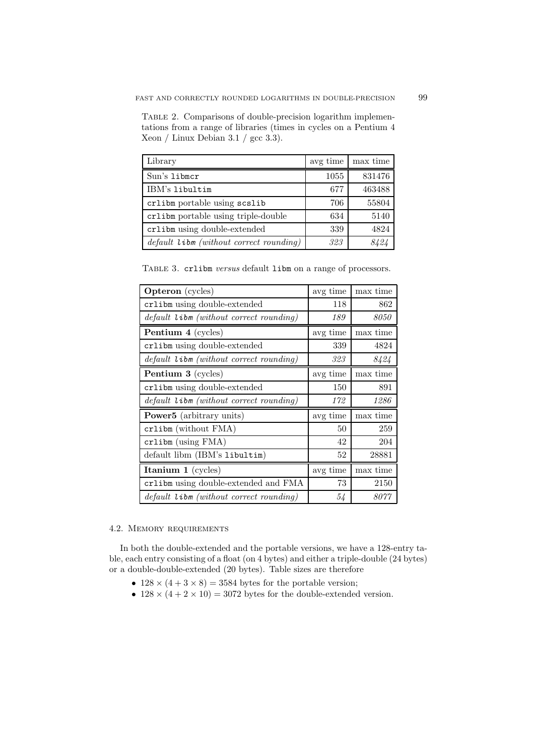TABLE 2. Comparisons of double-precision logarithm implementations from a range of libraries (times in cycles on a Pentium 4 Xeon / Linux Debian  $3.1$  / gcc  $3.3$ ).

| Library                                   | avg time | max time |
|-------------------------------------------|----------|----------|
| Sun's libmcr                              | 1055     | 831476   |
| IBM's libultim                            | 677      | 463488   |
| crlibm portable using scslib              | 706      | 55804    |
| crlibm portable using triple-double       | 634      | 5140     |
| crlibm using double-extended              | 339      | 4824     |
| $default$ libm (without correct rounding) | 323      | 8424     |

Table 3. crlibm *versus* default libm on a range of processors.

| <b>Opteron</b> (cycles)                   | avg time | max time |
|-------------------------------------------|----------|----------|
| crlibm using double-extended              | 118      | 862      |
| $default$ libm (without correct rounding) | 189      | 8050     |
| Pentium 4 (cycles)                        | avg time | max time |
| crlibm using double-extended              | 339      | 4824     |
| $default$ libm (without correct rounding) | 323      | 8424     |
| Pentium 3 (cycles)                        | avg time | max time |
| crlibm using double-extended              | 150      | 891      |
| $default$ libm (without correct rounding) | 172      | 1286     |
| <b>Power5</b> (arbitrary units)           | avg time | max time |
| $crlibm$ (without $FMA$ )                 | 50       | 259      |
| crlibm (using $FMA$ )                     | 42       | 204      |
| default libm (IBM's libultim)             | 52       | 28881    |
| Itanium $1$ (cycles)                      | avg time | max time |
| crlibm using double-extended and FMA      | 73       | 2150     |
| default libm (without correct rounding)   | 54       | 8077     |

4.2. Memory requirements

In both the double-extended and the portable versions, we have a 128-entry table, each entry consisting of a float (on 4 bytes) and either a triple-double (24 bytes) or a double-double-extended (20 bytes). Table sizes are therefore

- $128 \times (4 + 3 \times 8) = 3584$  bytes for the portable version;
- $128 \times (4 + 2 \times 10) = 3072$  bytes for the double-extended version.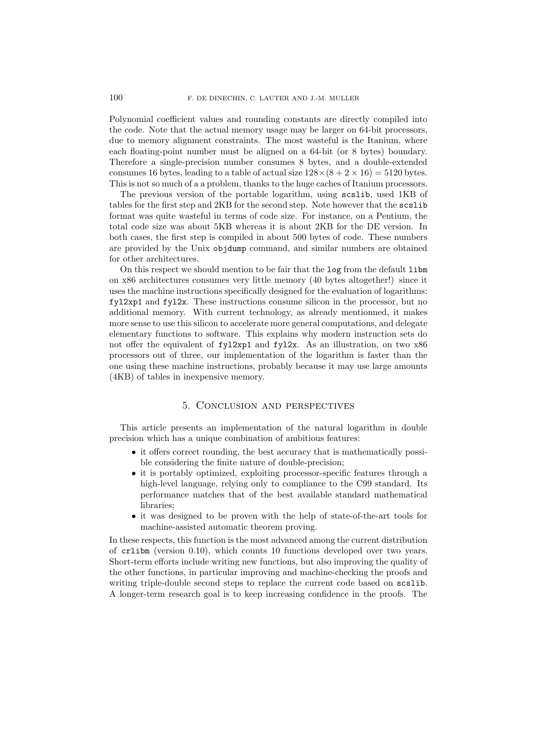Polynomial coefficient values and rounding constants are directly compiled into the code. Note that the actual memory usage may be larger on 64-bit processors, due to memory alignment constraints. The most wasteful is the Itanium, where each floating-point number must be aligned on a 64-bit (or 8 bytes) boundary. Therefore a single-precision number consumes 8 bytes, and a double-extended consumes 16 bytes, leading to a table of actual size  $128 \times (8 + 2 \times 16) = 5120$  bytes. This is not so much of a a problem, thanks to the huge caches of Itanium processors.

The previous version of the portable logarithm, using scslib, used 1KB of tables for the first step and 2KB for the second step. Note however that the scslib format was quite wasteful in terms of code size. For instance, on a Pentium, the total code size was about 5KB whereas it is about 2KB for the DE version. In both cases, the first step is compiled in about 500 bytes of code. These numbers are provided by the Unix objdump command, and similar numbers are obtained for other architectures.

On this respect we should mention to be fair that the log from the default libm on x86 architectures consumes very little memory (40 bytes altogether!) since it uses the machine instructions specifically designed for the evaluation of logarithms: fyl2xp1 and fyl2x. These instructions consume silicon in the processor, but no additional memory. With current technology, as already mentionned, it makes more sense to use this silicon to accelerate more general computations, and delegate elementary functions to software. This explains why modern instruction sets do not offer the equivalent of fyl2xp1 and fyl2x. As an illustration, on two x86 processors out of three, our implementation of the logarithm is faster than the one using these machine instructions, probably because it may use large amounts (4KB) of tables in inexpensive memory.

# 5. Conclusion and perspectives

This article presents an implementation of the natural logarithm in double precision which has a unique combination of ambitious features:

- it offers correct rounding, the best accuracy that is mathematically possible considering the finite nature of double-precision;
- it is portably optimized, exploiting processor-specific features through a high-level language, relying only to compliance to the C99 standard. Its performance matches that of the best available standard mathematical libraries;
- it was designed to be proven with the help of state-of-the-art tools for machine-assisted automatic theorem proving.

In these respects, this function is the most advanced among the current distribution of crlibm (version 0.10), which counts 10 functions developed over two years. Short-term efforts include writing new functions, but also improving the quality of the other functions, in particular improving and machine-checking the proofs and writing triple-double second steps to replace the current code based on scslib. A longer-term research goal is to keep increasing confidence in the proofs. The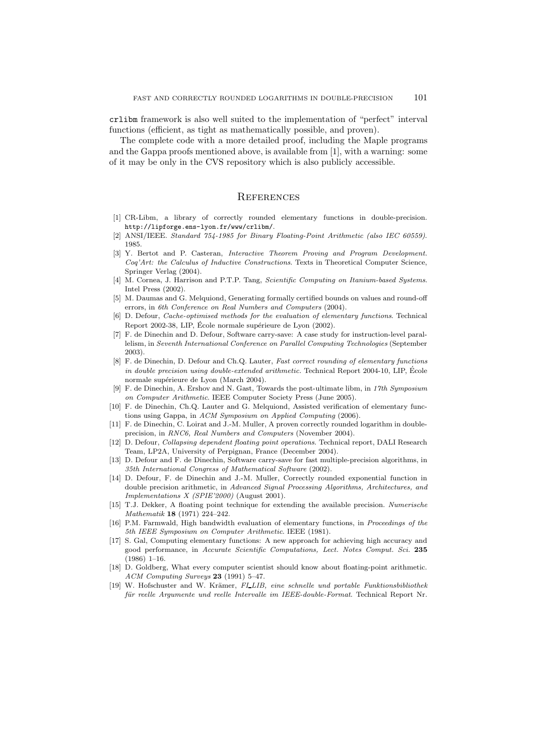crlibm framework is also well suited to the implementation of "perfect" interval functions (efficient, as tight as mathematically possible, and proven).

The complete code with a more detailed proof, including the Maple programs and the Gappa proofs mentioned above, is available from [1], with a warning: some of it may be only in the CVS repository which is also publicly accessible.

# **REFERENCES**

- [1] CR-Libm, a library of correctly rounded elementary functions in double-precision. http://lipforge.ens-lyon.fr/www/crlibm/.
- [2] ANSI/IEEE. *Standard 754-1985 for Binary Floating-Point Arithmetic (also IEC 60559)*. 1985.
- [3] Y. Bertot and P. Casteran, *Interactive Theorem Proving and Program Development. Coq'Art: the Calculus of Inductive Constructions*. Texts in Theoretical Computer Science, Springer Verlag (2004).
- [4] M. Cornea, J. Harrison and P.T.P. Tang, *Scientific Computing on Itanium-based Systems*. Intel Press (2002).
- [5] M. Daumas and G. Melquiond, Generating formally certified bounds on values and round-off errors, in *6th Conference on Real Numbers and Computers* (2004).
- [6] D. Defour, *Cache-optimised methods for the evaluation of elementary functions*. Technical Report 2002-38, LIP, École normale supérieure de Lyon (2002).
- [7] F. de Dinechin and D. Defour, Software carry-save: A case study for instruction-level parallelism, in *Seventh International Conference on Parallel Computing Technologies* (September 2003).
- [8] F. de Dinechin, D. Defour and Ch.Q. Lauter, *Fast correct rounding of elementary functions in double precision using double-extended arithmetic.* Technical Report 2004-10, LIP, École normale supérieure de Lyon (March 2004).
- [9] F. de Dinechin, A. Ershov and N. Gast, Towards the post-ultimate libm, in *17th Symposium on Computer Arithmetic*. IEEE Computer Society Press (June 2005).
- [10] F. de Dinechin, Ch.Q. Lauter and G. Melquiond, Assisted verification of elementary functions using Gappa, in *ACM Symposium on Applied Computing* (2006).
- [11] F. de Dinechin, C. Loirat and J.-M. Muller, A proven correctly rounded logarithm in doubleprecision, in *RNC6, Real Numbers and Computers* (November 2004).
- [12] D. Defour, *Collapsing dependent floating point operations*. Technical report, DALI Research Team, LP2A, University of Perpignan, France (December 2004).
- [13] D. Defour and F. de Dinechin, Software carry-save for fast multiple-precision algorithms, in *35th International Congress of Mathematical Software* (2002).
- [14] D. Defour, F. de Dinechin and J.-M. Muller, Correctly rounded exponential function in double precision arithmetic, in *Advanced Signal Processing Algorithms, Architectures, and Implementations X (SPIE'2000)* (August 2001).
- [15] T.J. Dekker, A floating point technique for extending the available precision. *Numerische Mathematik* **18** (1971) 224–242.
- [16] P.M. Farmwald, High bandwidth evaluation of elementary functions, in *Proceedings of the 5th IEEE Symposium on Computer Arithmetic*. IEEE (1981).
- [17] S. Gal, Computing elementary functions: A new approach for achieving high accuracy and good performance, in *Accurate Scientific Computations, Lect. Notes Comput. Sci.* **235** (1986) 1–16.
- [18] D. Goldberg, What every computer scientist should know about floating-point arithmetic. *ACM Computing Surveys* **23** (1991) 5–47.
- [19] W. Hofschuster and W. Krämer, *FI\_LIB, eine schnelle und portable Funktionsbibliothek f¨ur reelle Argumente und reelle Intervalle im IEEE-double-Format*. Technical Report Nr.